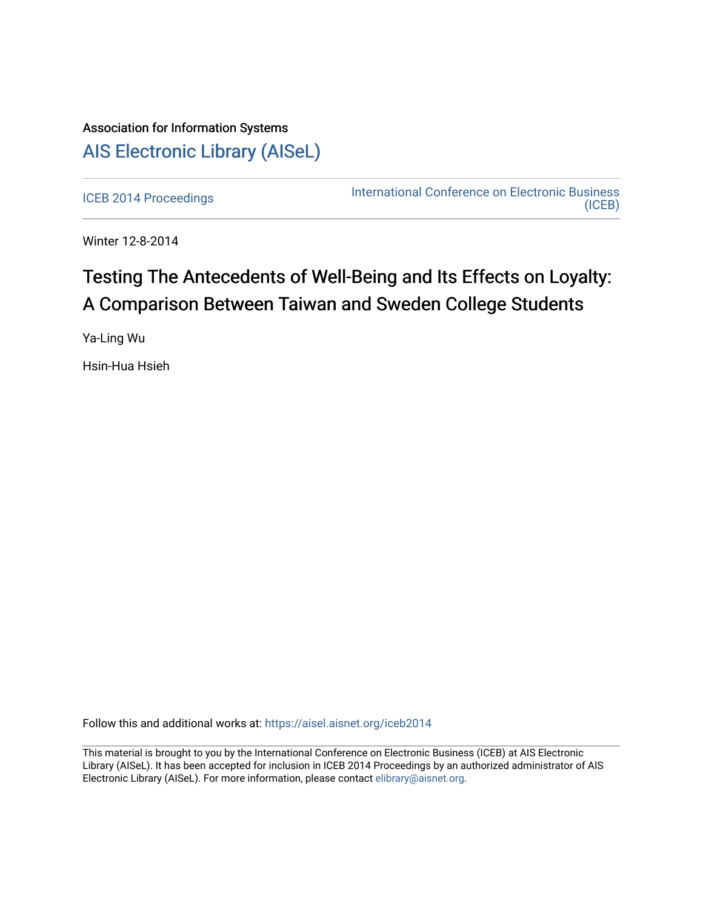# Association for Information Systems [AIS Electronic Library \(AISeL\)](https://aisel.aisnet.org/)

[ICEB 2014 Proceedings](https://aisel.aisnet.org/iceb2014) **International Conference on Electronic Business** [\(ICEB\)](https://aisel.aisnet.org/iceb) 

Winter 12-8-2014

# Testing The Antecedents of Well-Being and Its Effects on Loyalty: A Comparison Between Taiwan and Sweden College Students

Ya-Ling Wu

Hsin-Hua Hsieh

Follow this and additional works at: [https://aisel.aisnet.org/iceb2014](https://aisel.aisnet.org/iceb2014?utm_source=aisel.aisnet.org%2Ficeb2014%2F18&utm_medium=PDF&utm_campaign=PDFCoverPages)

This material is brought to you by the International Conference on Electronic Business (ICEB) at AIS Electronic Library (AISeL). It has been accepted for inclusion in ICEB 2014 Proceedings by an authorized administrator of AIS Electronic Library (AISeL). For more information, please contact [elibrary@aisnet.org.](mailto:elibrary@aisnet.org%3E)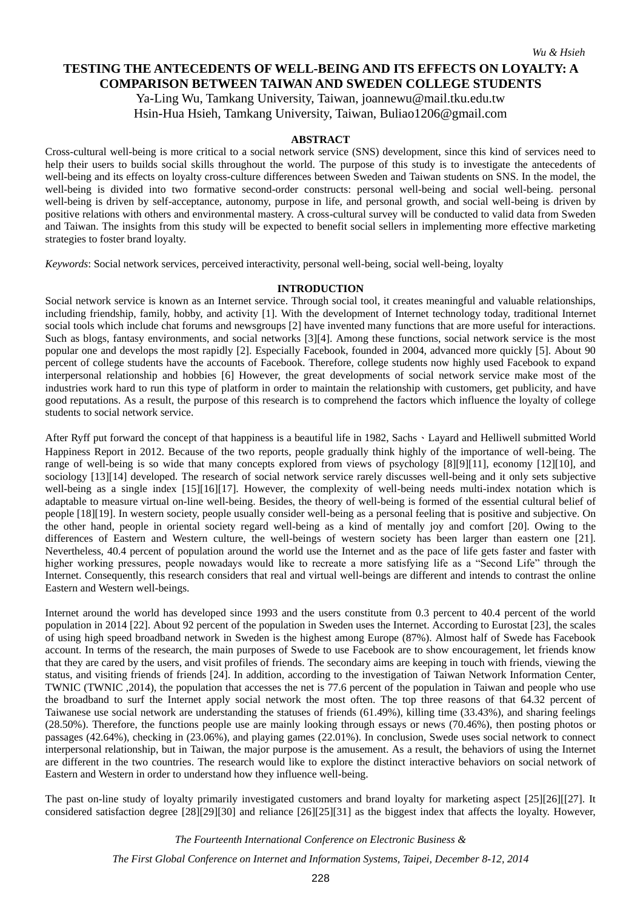*Wu & Hsieh*

# **TESTING THE ANTECEDENTS OF WELL-BEING AND ITS EFFECTS ON LOYALTY: A COMPARISON BETWEEN TAIWAN AND SWEDEN COLLEGE STUDENTS**

Ya-Ling Wu, Tamkang University, Taiwan, joannewu@mail.tku.edu.tw Hsin-Hua Hsieh, Tamkang University, Taiwan, Buliao1206@gmail.com

### **ABSTRACT**

Cross-cultural well-being is more critical to a social network service (SNS) development, since this kind of services need to help their users to builds social skills throughout the world. The purpose of this study is to investigate the antecedents of well-being and its effects on loyalty cross-culture differences between Sweden and Taiwan students on SNS. In the model, the well-being is divided into two formative second-order constructs: personal well-being and social well-being. personal well-being is driven by self-acceptance, autonomy, purpose in life, and personal growth, and social well-being is driven by positive relations with others and environmental mastery. A cross-cultural survey will be conducted to valid data from Sweden and Taiwan. The insights from this study will be expected to benefit social sellers in implementing more effective marketing strategies to foster brand loyalty.

*Keywords*: Social network services, perceived interactivity, personal well-being, social well-being, loyalty

### **INTRODUCTION**

Social network service is known as an Internet service. Through social tool, it creates meaningful and valuable relationships, including friendship, family, hobby, and activity [1]. With the development of Internet technology today, traditional Internet social tools which include chat forums and newsgroups [2] have invented many functions that are more useful for interactions. Such as blogs, fantasy environments, and social networks [3][4]. Among these functions, social network service is the most popular one and develops the most rapidly [2]. Especially Facebook, founded in 2004, advanced more quickly [5]. About 90 percent of college students have the accounts of Facebook. Therefore, college students now highly used Facebook to expand interpersonal relationship and hobbies [6] However, the great developments of social network service make most of the industries work hard to run this type of platform in order to maintain the relationship with customers, get publicity, and have good reputations. As a result, the purpose of this research is to comprehend the factors which influence the loyalty of college students to social network service.

After Ryff put forward the concept of that happiness is a beautiful life in 1982, Sachs  $\cdot$  Layard and Helliwell submitted World Happiness Report in 2012. Because of the two reports, people gradually think highly of the importance of well-being. The range of well-being is so wide that many concepts explored from views of psychology [8][9][11], economy [12][10], and sociology [13][14] developed. The research of social network service rarely discusses well-being and it only sets subjective well-being as a single index [15][16][17]. However, the complexity of well-being needs multi-index notation which is adaptable to measure virtual on-line well-being. Besides, the theory of well-being is formed of the essential cultural belief of people [18][19]. In western society, people usually consider well-being as a personal feeling that is positive and subjective. On the other hand, people in oriental society regard well-being as a kind of mentally joy and comfort [20]. Owing to the differences of Eastern and Western culture, the well-beings of western society has been larger than eastern one [21]. Nevertheless, 40.4 percent of population around the world use the Internet and as the pace of life gets faster and faster with higher working pressures, people nowadays would like to recreate a more satisfying life as a "Second Life" through the Internet. Consequently, this research considers that real and virtual well-beings are different and intends to contrast the online Eastern and Western well-beings.

Internet around the world has developed since 1993 and the users constitute from 0.3 percent to 40.4 percent of the world population in 2014 [22]. About 92 percent of the population in Sweden uses the Internet. According to Eurostat [23], the scales of using high speed broadband network in Sweden is the highest among Europe (87%). Almost half of Swede has Facebook account. In terms of the research, the main purposes of Swede to use Facebook are to show encouragement, let friends know that they are cared by the users, and visit profiles of friends. The secondary aims are keeping in touch with friends, viewing the status, and visiting friends of friends [24]. In addition, according to the investigation of Taiwan Network Information Center, TWNIC (TWNIC ,2014), the population that accesses the net is 77.6 percent of the population in Taiwan and people who use the broadband to surf the Internet apply social network the most often. The top three reasons of that 64.32 percent of Taiwanese use social network are understanding the statuses of friends (61.49%), killing time (33.43%), and sharing feelings (28.50%). Therefore, the functions people use are mainly looking through essays or news (70.46%), then posting photos or passages (42.64%), checking in (23.06%), and playing games (22.01%). In conclusion, Swede uses social network to connect interpersonal relationship, but in Taiwan, the major purpose is the amusement. As a result, the behaviors of using the Internet are different in the two countries. The research would like to explore the distinct interactive behaviors on social network of Eastern and Western in order to understand how they influence well-being.

The past on-line study of loyalty primarily investigated customers and brand loyalty for marketing aspect [25][26][[27]. It considered satisfaction degree [28][29][30] and reliance [26][25][31] as the biggest index that affects the loyalty. However,

*The Fourteenth International Conference on Electronic Business &*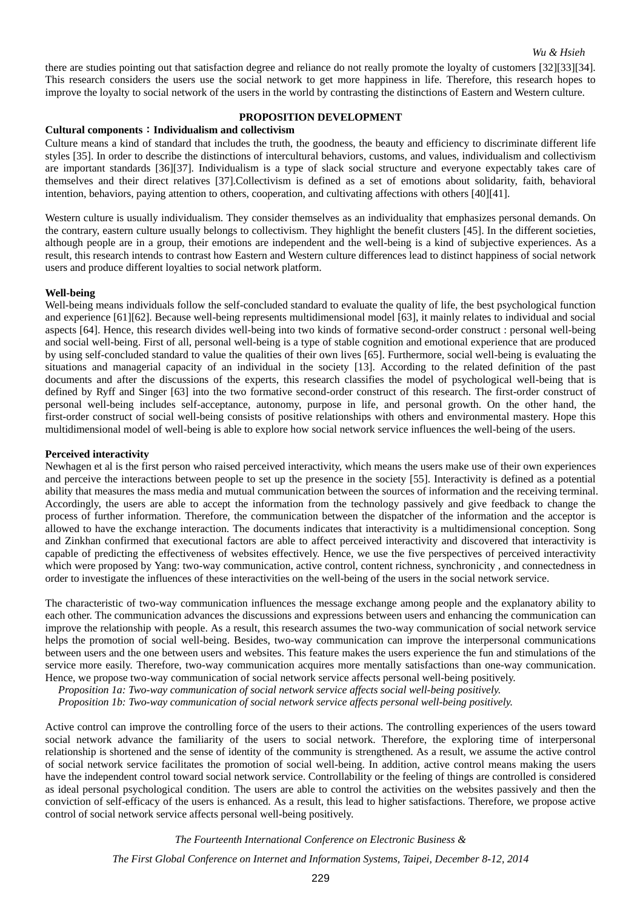there are studies pointing out that satisfaction degree and reliance do not really promote the loyalty of customers [32][33][34]. This research considers the users use the social network to get more happiness in life. Therefore, this research hopes to improve the loyalty to social network of the users in the world by contrasting the distinctions of Eastern and Western culture.

# **PROPOSITION DEVELOPMENT**

# **Cultural components**:**Individualism and collectivism**

Culture means a kind of standard that includes the truth, the goodness, the beauty and efficiency to discriminate different life styles [35]. In order to describe the distinctions of intercultural behaviors, customs, and values, individualism and collectivism are important standards [36][37]. Individualism is a type of slack social structure and everyone expectably takes care of themselves and their direct relatives [37].Collectivism is defined as a set of emotions about solidarity, faith, behavioral intention, behaviors, paying attention to others, cooperation, and cultivating affections with others [40][41].

Western culture is usually individualism. They consider themselves as an individuality that emphasizes personal demands. On the contrary, eastern culture usually belongs to collectivism. They highlight the benefit clusters [45]. In the different societies, although people are in a group, their emotions are independent and the well-being is a kind of subjective experiences. As a result, this research intends to contrast how Eastern and Western culture differences lead to distinct happiness of social network users and produce different loyalties to social network platform.

#### **Well-being**

Well-being means individuals follow the self-concluded standard to evaluate the quality of life, the best psychological function and experience [61][62]. Because well-being represents multidimensional model [63], it mainly relates to individual and social aspects [64]. Hence, this research divides well-being into two kinds of formative second-order construct : personal well-being and social well-being. First of all, personal well-being is a type of stable cognition and emotional experience that are produced by using self-concluded standard to value the qualities of their own lives [65]. Furthermore, social well-being is evaluating the situations and managerial capacity of an individual in the society [13]. According to the related definition of the past documents and after the discussions of the experts, this research classifies the model of psychological well-being that is defined by Ryff and Singer [63] into the two formative second-order construct of this research. The first-order construct of personal well-being includes self-acceptance, autonomy, purpose in life, and personal growth. On the other hand, the first-order construct of social well-being consists of positive relationships with others and environmental mastery. Hope this multidimensional model of well-being is able to explore how social network service influences the well-being of the users.

#### **Perceived interactivity**

Newhagen et al is the first person who raised perceived interactivity, which means the users make use of their own experiences and perceive the interactions between people to set up the presence in the society [55]. Interactivity is defined as a potential ability that measures the mass media and mutual communication between the sources of information and the receiving terminal. Accordingly, the users are able to accept the information from the technology passively and give feedback to change the process of further information. Therefore, the communication between the dispatcher of the information and the acceptor is allowed to have the exchange interaction. The documents indicates that interactivity is a multidimensional conception. Song and Zinkhan confirmed that executional factors are able to affect perceived interactivity and discovered that interactivity is capable of predicting the effectiveness of websites effectively. Hence, we use the five perspectives of perceived interactivity which were proposed by Yang: two-way communication, active control, content richness, synchronicity, and connectedness in order to investigate the influences of these interactivities on the well-being of the users in the social network service.

The characteristic of two-way communication influences the message exchange among people and the explanatory ability to each other. The communication advances the discussions and expressions between users and enhancing the communication can improve the relationship with people. As a result, this research assumes the two-way communication of social network service helps the promotion of social well-being. Besides, two-way communication can improve the interpersonal communications between users and the one between users and websites. This feature makes the users experience the fun and stimulations of the service more easily. Therefore, two-way communication acquires more mentally satisfactions than one-way communication. Hence, we propose two-way communication of social network service affects personal well-being positively.

*Proposition 1a: Two-way communication of social network service affects social well-being positively.* 

*Proposition 1b: Two-way communication of social network service affects personal well-being positively.*

Active control can improve the controlling force of the users to their actions. The controlling experiences of the users toward social network advance the familiarity of the users to social network. Therefore, the exploring time of interpersonal relationship is shortened and the sense of identity of the community is strengthened. As a result, we assume the active control of social network service facilitates the promotion of social well-being. In addition, active control means making the users have the independent control toward social network service. Controllability or the feeling of things are controlled is considered as ideal personal psychological condition. The users are able to control the activities on the websites passively and then the conviction of self-efficacy of the users is enhanced. As a result, this lead to higher satisfactions. Therefore, we propose active control of social network service affects personal well-being positively.

*The Fourteenth International Conference on Electronic Business &*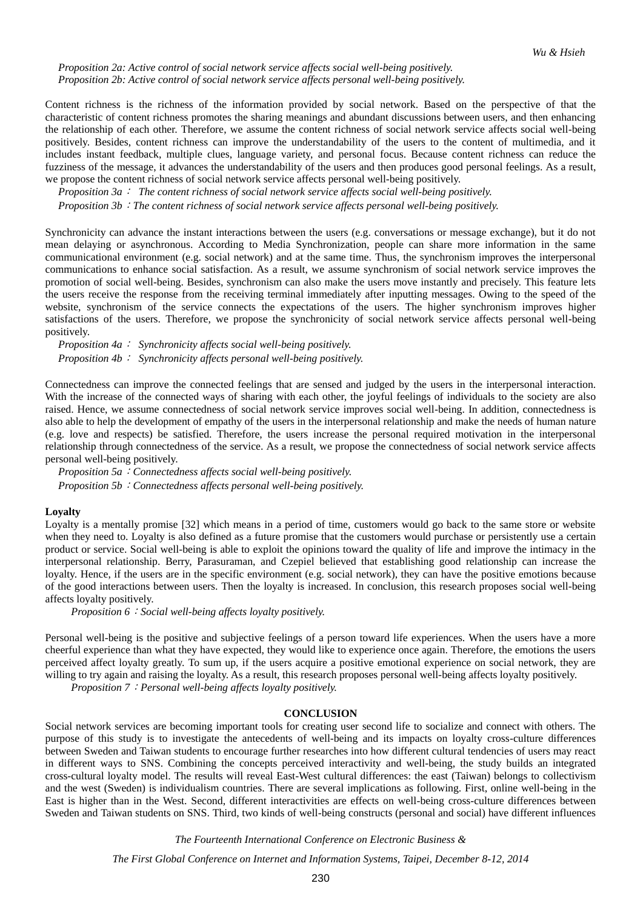*Proposition 2a: Active control of social network service affects social well-being positively. Proposition 2b: Active control of social network service affects personal well-being positively.* 

Content richness is the richness of the information provided by social network. Based on the perspective of that the characteristic of content richness promotes the sharing meanings and abundant discussions between users, and then enhancing the relationship of each other. Therefore, we assume the content richness of social network service affects social well-being positively. Besides, content richness can improve the understandability of the users to the content of multimedia, and it includes instant feedback, multiple clues, language variety, and personal focus. Because content richness can reduce the fuzziness of the message, it advances the understandability of the users and then produces good personal feelings. As a result, we propose the content richness of social network service affects personal well-being positively.

*Proposition 3a*: *The content richness of social network service affects social well-being positively.*

*Proposition 3b*:*The content richness of social network service affects personal well-being positively.*

Synchronicity can advance the instant interactions between the users (e.g. conversations or message exchange), but it do not mean delaying or asynchronous. According to Media Synchronization, people can share more information in the same communicational environment (e.g. social network) and at the same time. Thus, the synchronism improves the interpersonal communications to enhance social satisfaction. As a result, we assume synchronism of social network service improves the promotion of social well-being. Besides, synchronism can also make the users move instantly and precisely. This feature lets the users receive the response from the receiving terminal immediately after inputting messages. Owing to the speed of the website, synchronism of the service connects the expectations of the users. The higher synchronism improves higher satisfactions of the users. Therefore, we propose the synchronicity of social network service affects personal well-being positively.

*Proposition 4a*: *Synchronicity affects social well-being positively. Proposition 4b*: *Synchronicity affects personal well-being positively.*

Connectedness can improve the connected feelings that are sensed and judged by the users in the interpersonal interaction. With the increase of the connected ways of sharing with each other, the joyful feelings of individuals to the society are also raised. Hence, we assume connectedness of social network service improves social well-being. In addition, connectedness is also able to help the development of empathy of the users in the interpersonal relationship and make the needs of human nature (e.g. love and respects) be satisfied. Therefore, the users increase the personal required motivation in the interpersonal relationship through connectedness of the service. As a result, we propose the connectedness of social network service affects personal well-being positively.

*Proposition 5a*:*Connectedness affects social well-being positively. Proposition 5b*:*Connectedness affects personal well-being positively.*

#### **Loyalty**

Loyalty is a mentally promise [32] which means in a period of time, customers would go back to the same store or website when they need to. Loyalty is also defined as a future promise that the customers would purchase or persistently use a certain product or service. Social well-being is able to exploit the opinions toward the quality of life and improve the intimacy in the interpersonal relationship. Berry, Parasuraman, and Czepiel believed that establishing good relationship can increase the loyalty. Hence, if the users are in the specific environment (e.g. social network), they can have the positive emotions because of the good interactions between users. Then the loyalty is increased. In conclusion, this research proposes social well-being affects loyalty positively.

*Proposition 6*:*Social well-being affects loyalty positively.*

Personal well-being is the positive and subjective feelings of a person toward life experiences. When the users have a more cheerful experience than what they have expected, they would like to experience once again. Therefore, the emotions the users perceived affect loyalty greatly. To sum up, if the users acquire a positive emotional experience on social network, they are willing to try again and raising the loyalty. As a result, this research proposes personal well-being affects loyalty positively.

*Proposition 7*:*Personal well-being affects loyalty positively.*

### **CONCLUSION**

Social network services are becoming important tools for creating user second life to socialize and connect with others. The purpose of this study is to investigate the antecedents of well-being and its impacts on loyalty cross-culture differences between Sweden and Taiwan students to encourage further researches into how different cultural tendencies of users may react in different ways to SNS. Combining the concepts perceived interactivity and well-being, the study builds an integrated cross-cultural loyalty model. The results will reveal East-West cultural differences: the east (Taiwan) belongs to collectivism and the west (Sweden) is individualism countries. There are several implications as following. First, online well-being in the East is higher than in the West. Second, different interactivities are effects on well-being cross-culture differences between Sweden and Taiwan students on SNS. Third, two kinds of well-being constructs (personal and social) have different influences

*The Fourteenth International Conference on Electronic Business &*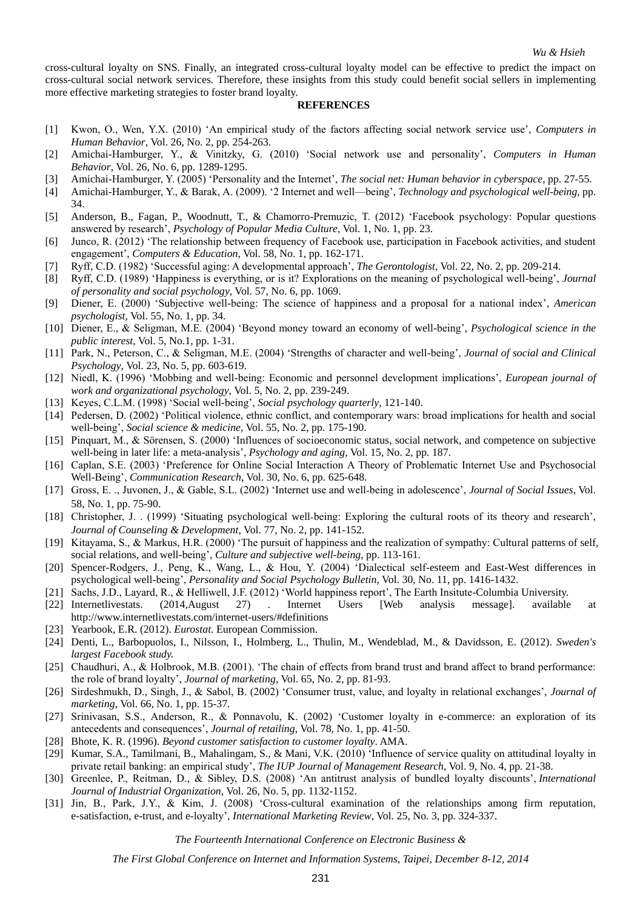cross-cultural loyalty on SNS. Finally, an integrated cross-cultural loyalty model can be effective to predict the impact on cross-cultural social network services. Therefore, these insights from this study could benefit social sellers in implementing more effective marketing strategies to foster brand loyalty.

#### **REFERENCES**

- [1] Kwon, O., Wen, Y.X. (2010) 'An empirical study of the factors affecting social network service use', *Computers in Human Behavior*, Vol. 26, No. 2, pp. 254-263.
- [2] Amichai-Hamburger, Y., & Vinitzky, G. (2010) 'Social network use and personality', *Computers in Human Behavior*, Vol. 26, No. 6, pp. 1289-1295.
- [3] Amichai-Hamburger, Y. (2005) 'Personality and the Internet', *The social net: Human behavior in cyberspace*, pp. 27-55.
- [4] Amichai-Hamburger, Y., & Barak, A. (2009). '2 Internet and well—being', *Technology and psychological well-being*, pp. 34.
- [5] Anderson, B., Fagan, P., Woodnutt, T., & Chamorro-Premuzic, T. (2012) 'Facebook psychology: Popular questions answered by research', *Psychology of Popular Media Culture*, Vol. 1, No. 1, pp. 23.
- [6] Junco, R. (2012) 'The relationship between frequency of Facebook use, participation in Facebook activities, and student engagement', *Computers & Education*, Vol. 58, No. 1, pp. 162-171.
- [7] Ryff, C.D. (1982) 'Successful aging: A developmental approach', *The Gerontologist*, Vol. 22, No. 2, pp. 209-214.
- [8] Ryff, C.D. (1989) 'Happiness is everything, or is it? Explorations on the meaning of psychological well-being', *Journal of personality and social psychology*, Vol. 57, No. 6, pp. 1069.
- [9] Diener, E. (2000) 'Subjective well-being: The science of happiness and a proposal for a national index', *American psychologist*, Vol. 55, No. 1, pp. 34.
- [10] Diener, E., & Seligman, M.E. (2004) 'Beyond money toward an economy of well-being', *Psychological science in the public interest*, Vol. 5, No.1, pp. 1-31.
- [11] Park, N., Peterson, C., & Seligman, M.E. (2004) 'Strengths of character and well-being', *Journal of social and Clinical Psychology*, Vol. 23, No. 5, pp. 603-619.
- [12] Niedl, K. (1996) 'Mobbing and well-being: Economic and personnel development implications', *European journal of work and organizational psychology*, Vol. 5, No. 2, pp. 239-249.
- [13] Keyes, C.L.M. (1998) 'Social well-being', *Social psychology quarterly*, 121-140.
- [14] Pedersen, D. (2002) 'Political violence, ethnic conflict, and contemporary wars: broad implications for health and social well-being', *Social science & medicine*, Vol. 55, No. 2, pp. 175-190.
- [15] Pinquart, M., & Sörensen, S. (2000) 'Influences of socioeconomic status, social network, and competence on subjective well-being in later life: a meta-analysis', *Psychology and aging*, Vol. 15, No. 2, pp. 187.
- [16] Caplan, S.E. (2003) 'Preference for Online Social Interaction A Theory of Problematic Internet Use and Psychosocial Well-Being', *Communication Research*, Vol. 30, No. 6, pp. 625-648.
- [17] Gross, E. ., Juvonen, J., & Gable, S.L. (2002) 'Internet use and well‐being in adolescence', *Journal of Social Issues*, Vol. 58, No. 1, pp. 75-90.
- [18] Christopher, J. . (1999) 'Situating psychological well‐being: Exploring the cultural roots of its theory and research', *Journal of Counseling & Development*, Vol. 77, No. 2, pp. 141-152.
- [19] Kitayama, S., & Markus, H.R. (2000) 'The pursuit of happiness and the realization of sympathy: Cultural patterns of self, social relations, and well-being', *Culture and subjective well-being*, pp. 113-161.
- [20] Spencer-Rodgers, J., Peng, K., Wang, L., & Hou, Y. (2004) 'Dialectical self-esteem and East-West differences in psychological well-being', *Personality and Social Psychology Bulletin*, Vol. 30, No. 11, pp. 1416-1432.
- [21] Sachs, J.D., Layard, R., & Helliwell, J.F. (2012) 'World happiness report', The Earth Insitute-Columbia University.
- [22] Internetlivestats. (2014,August 27) . Internet Users [Web analysis message]. available at <http://www.internetlivestats.com/internet-users/#definitions>
- [23] Yearbook, E.R. (2012). *Eurostat*. European Commission.
- [24] Denti, L., Barbopuolos, I., Nilsson, I., Holmberg, L., Thulin, M., Wendeblad, M., & Davidsson, E. (2012). *Sweden's largest Facebook study.*
- [25] Chaudhuri, A., & Holbrook, M.B. (2001). 'The chain of effects from brand trust and brand affect to brand performance: the role of brand loyalty', *Journal of marketing*, Vol. 65, No. 2, pp. 81-93.
- [26] Sirdeshmukh, D., Singh, J., & Sabol, B. (2002) 'Consumer trust, value, and loyalty in relational exchanges', *Journal of marketing*, Vol. 66, No. 1, pp. 15-37.
- [27] Srinivasan, S.S., Anderson, R., & Ponnavolu, K. (2002) 'Customer loyalty in e-commerce: an exploration of its antecedents and consequences', *Journal of retailing*, Vol. 78, No. 1, pp. 41-50.
- [28] Bhote, K. R. (1996). *Beyond customer satisfaction to customer loyalty*. AMA.
- [29] Kumar, S.A., Tamilmani, B., Mahalingam, S., & Mani, V.K. (2010) 'Influence of service quality on attitudinal loyalty in private retail banking: an empirical study', *The IUP Journal of Management Research*, Vol. 9, No. 4, pp. 21-38.
- [30] Greenlee, P., Reitman, D., & Sibley, D.S. (2008) 'An antitrust analysis of bundled loyalty discounts', *International Journal of Industrial Organization*, Vol. 26, No. 5, pp. 1132-1152.
- [31] Jin, B., Park, J.Y., & Kim, J. (2008) 'Cross-cultural examination of the relationships among firm reputation, e-satisfaction, e-trust, and e-loyalty', *International Marketing Review*, Vol. 25, No. 3, pp. 324-337.

*The Fourteenth International Conference on Electronic Business &*